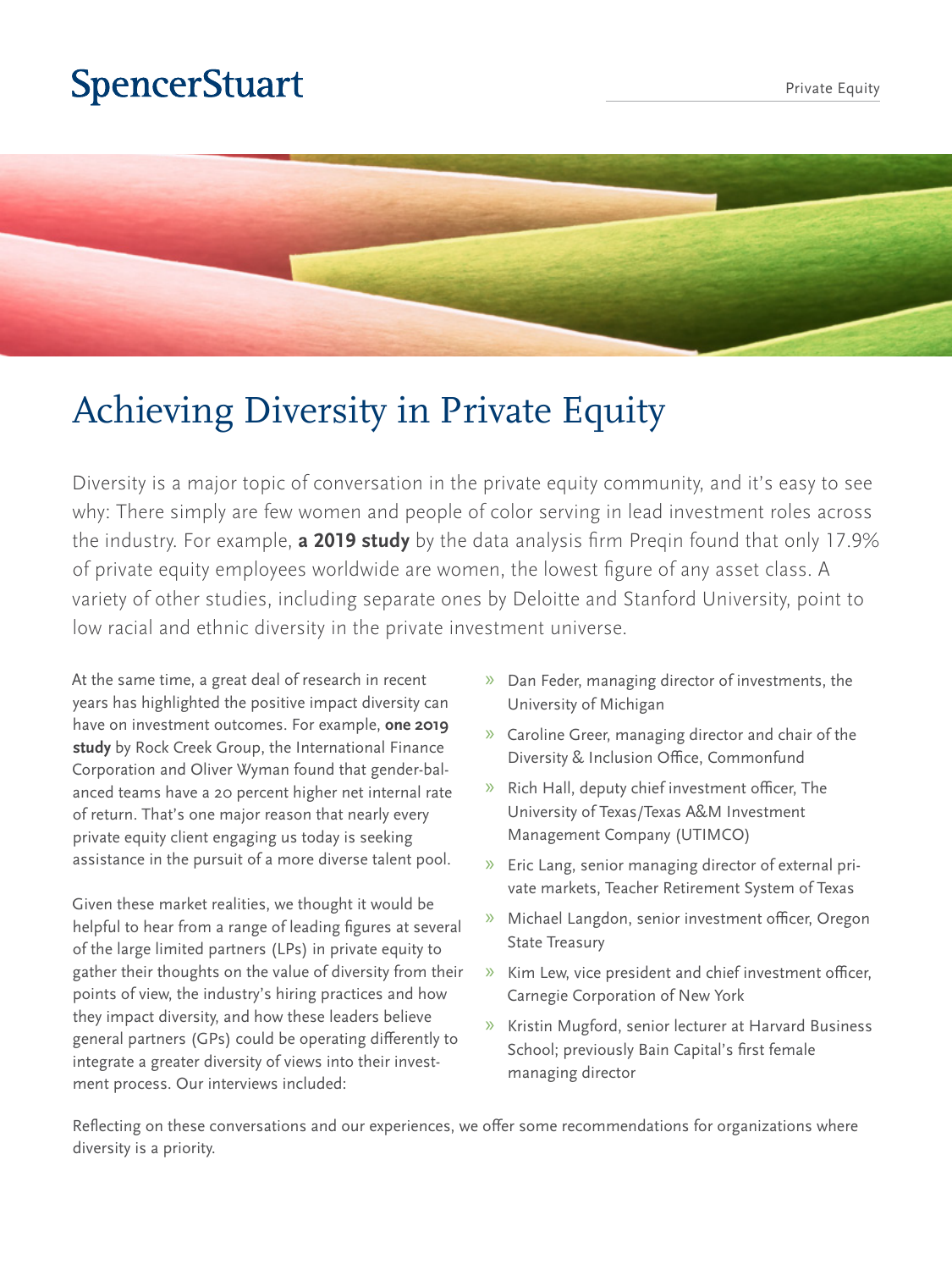# **SpencerStuart**



# Achieving Diversity in Private Equity

Diversity is a major topic of conversation in the private equity community, and it's easy to see why: There simply are few women and people of color serving in lead investment roles across the industry. For example, **[a 2019 study](https://docs.preqin.com/reports/Preqin-Women-in-Private-Equity-February-2019.pdf)** by the data analysis firm Preqin found that only 17.9% of private equity employees worldwide are women, the lowest figure of any asset class. A variety of other studies, including separate ones by Deloitte and Stanford University, point to low racial and ethnic diversity in the private investment universe.

At the same time, a great deal of research in recent years has highlighted the positive impact diversity can have on investment outcomes. For example, **[one 2019](https://www.oliverwyman.com/our-expertise/insights/2019/mar/moving-toward-gender-balance-in-private-equity-and-venture-capi.html)  [study](https://www.oliverwyman.com/our-expertise/insights/2019/mar/moving-toward-gender-balance-in-private-equity-and-venture-capi.html)** by Rock Creek Group, the International Finance Corporation and Oliver Wyman found that gender-balanced teams have a 20 percent higher net internal rate of return. That's one major reason that nearly every private equity client engaging us today is seeking assistance in the pursuit of a more diverse talent pool.

Given these market realities, we thought it would be helpful to hear from a range of leading figures at several of the large limited partners (LPs) in private equity to gather their thoughts on the value of diversity from their points of view, the industry's hiring practices and how they impact diversity, and how these leaders believe general partners (GPs) could be operating differently to integrate a greater diversity of views into their investment process. Our interviews included:

- » Dan Feder, managing director of investments, the University of Michigan
- » Caroline Greer, managing director and chair of the Diversity & Inclusion Office, Commonfund
- » Rich Hall, deputy chief investment officer, The University of Texas/Texas A&M Investment Management Company (UTIMCO)
- » Eric Lang, senior managing director of external private markets, Teacher Retirement System of Texas
- » Michael Langdon, senior investment officer, Oregon State Treasury
- » Kim Lew, vice president and chief investment officer, Carnegie Corporation of New York
- » Kristin Mugford, senior lecturer at Harvard Business School; previously Bain Capital's first female managing director

Reflecting on these conversations and our experiences, we offer some recommendations for organizations where diversity is a priority.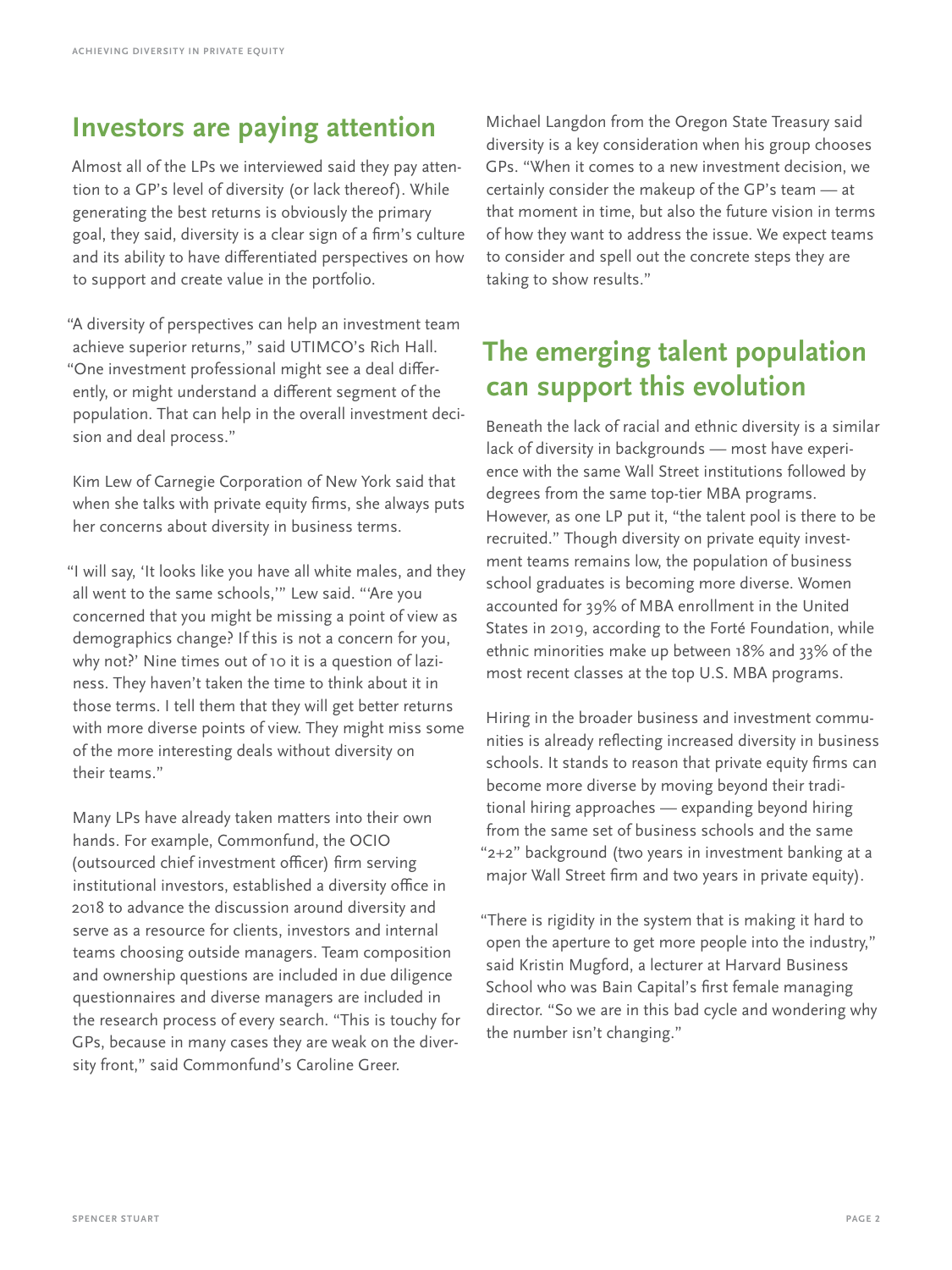#### **Investors are paying attention**

Almost all of the LPs we interviewed said they pay attention to a GP's level of diversity (or lack thereof). While generating the best returns is obviously the primary goal, they said, diversity is a clear sign of a firm's culture and its ability to have differentiated perspectives on how to support and create value in the portfolio.

"A diversity of perspectives can help an investment team achieve superior returns," said UTIMCO's Rich Hall. "One investment professional might see a deal differently, or might understand a different segment of the population. That can help in the overall investment decision and deal process."

Kim Lew of Carnegie Corporation of New York said that when she talks with private equity firms, she always puts her concerns about diversity in business terms.

"I will say, 'It looks like you have all white males, and they all went to the same schools,'" Lew said. "'Are you concerned that you might be missing a point of view as demographics change? If this is not a concern for you, why not?' Nine times out of 10 it is a question of laziness. They haven't taken the time to think about it in those terms. I tell them that they will get better returns with more diverse points of view. They might miss some of the more interesting deals without diversity on their teams."

Many LPs have already taken matters into their own hands. For example, Commonfund, the OCIO (outsourced chief investment officer) firm serving institutional investors, established a diversity office in 2018 to advance the discussion around diversity and serve as a resource for clients, investors and internal teams choosing outside managers. Team composition and ownership questions are included in due diligence questionnaires and diverse managers are included in the research process of every search. "This is touchy for GPs, because in many cases they are weak on the diversity front," said Commonfund's Caroline Greer.

Michael Langdon from the Oregon State Treasury said diversity is a key consideration when his group chooses GPs. "When it comes to a new investment decision, we certainly consider the makeup of the GP's team — at that moment in time, but also the future vision in terms of how they want to address the issue. We expect teams to consider and spell out the concrete steps they are taking to show results."

## **The emerging talent population can support this evolution**

Beneath the lack of racial and ethnic diversity is a similar lack of diversity in backgrounds — most have experience with the same Wall Street institutions followed by degrees from the same top-tier MBA programs. However, as one LP put it, "the talent pool is there to be recruited." Though diversity on private equity investment teams remains low, the population of business school graduates is becoming more diverse. Women accounted for 39% of MBA enrollment in the United States in 2019, according to the Forté Foundation, while ethnic minorities make up between 18% and 33% of the most recent classes at the top U.S. MBA programs.

Hiring in the broader business and investment communities is already reflecting increased diversity in business schools. It stands to reason that private equity firms can become more diverse by moving beyond their traditional hiring approaches — expanding beyond hiring from the same set of business schools and the same "2+2" background (two years in investment banking at a major Wall Street firm and two years in private equity).

"There is rigidity in the system that is making it hard to open the aperture to get more people into the industry," said Kristin Mugford, a lecturer at Harvard Business School who was Bain Capital's first female managing director. "So we are in this bad cycle and wondering why the number isn't changing."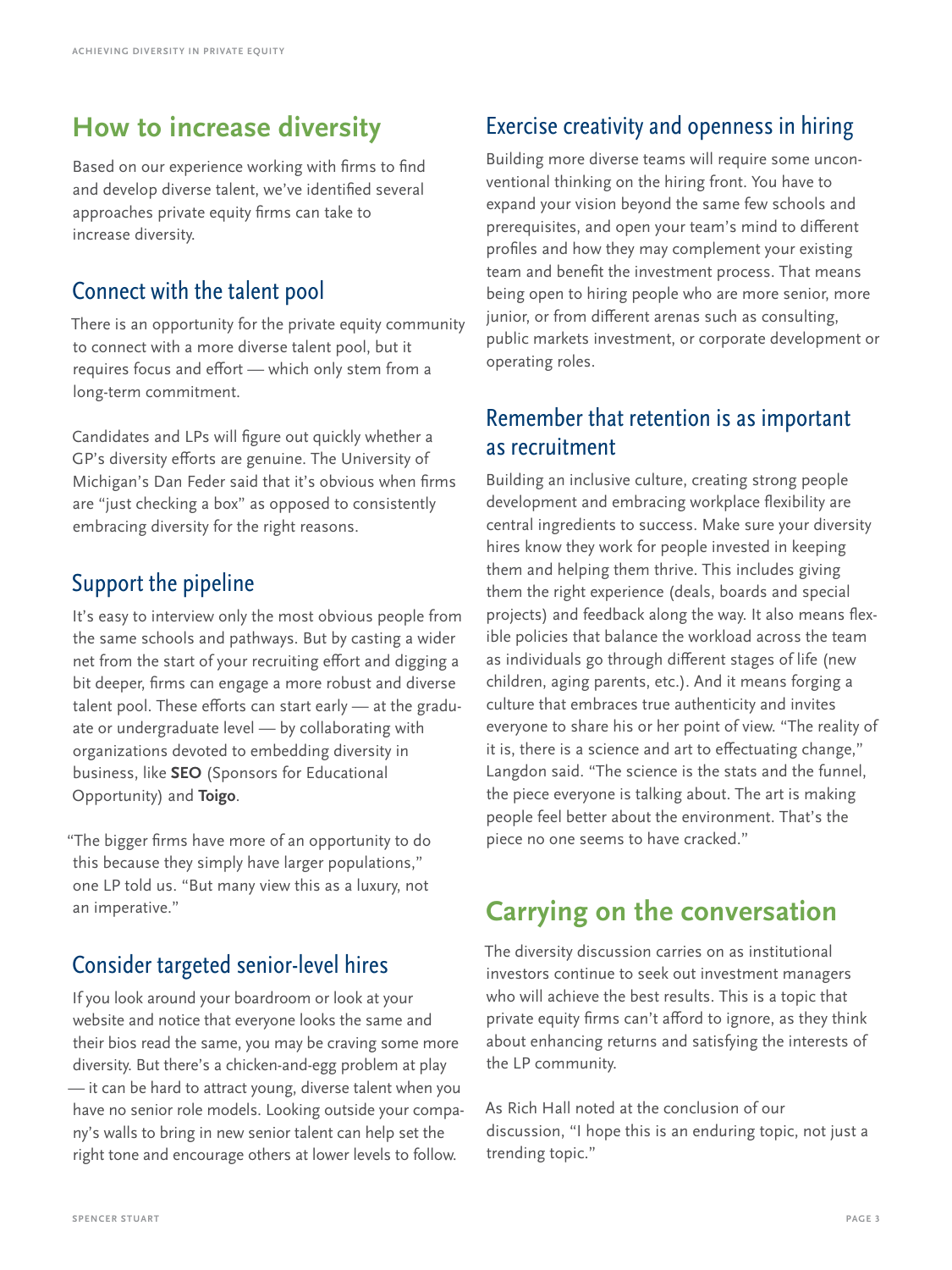### **How to increase diversity**

Based on our experience working with firms to find and develop diverse talent, we've identified several approaches private equity firms can take to increase diversity.

#### Connect with the talent pool

There is an opportunity for the private equity community to connect with a more diverse talent pool, but it requires focus and effort — which only stem from a long-term commitment.

Candidates and LPs will figure out quickly whether a GP's diversity efforts are genuine. The University of Michigan's Dan Feder said that it's obvious when firms are "just checking a box" as opposed to consistently embracing diversity for the right reasons.

#### Support the pipeline

It's easy to interview only the most obvious people from the same schools and pathways. But by casting a wider net from the start of your recruiting effort and digging a bit deeper, firms can engage a more robust and diverse talent pool. These efforts can start early — at the graduate or undergraduate level — by collaborating with organizations devoted to embedding diversity in business, like **[SEO](https://www.seo-usa.org/)** (Sponsors for Educational Opportunity) and **[Toigo](https://toigofoundation.org/)**.

"The bigger firms have more of an opportunity to do this because they simply have larger populations," one LP told us. "But many view this as a luxury, not an imperative."

#### Consider targeted senior-level hires

If you look around your boardroom or look at your website and notice that everyone looks the same and their bios read the same, you may be craving some more diversity. But there's a chicken-and-egg problem at play — it can be hard to attract young, diverse talent when you have no senior role models. Looking outside your company's walls to bring in new senior talent can help set the right tone and encourage others at lower levels to follow.

### Exercise creativity and openness in hiring

Building more diverse teams will require some unconventional thinking on the hiring front. You have to expand your vision beyond the same few schools and prerequisites, and open your team's mind to different profiles and how they may complement your existing team and benefit the investment process. That means being open to hiring people who are more senior, more junior, or from different arenas such as consulting, public markets investment, or corporate development or operating roles.

#### Remember that retention is as important as recruitment

Building an inclusive culture, creating strong people development and embracing workplace flexibility are central ingredients to success. Make sure your diversity hires know they work for people invested in keeping them and helping them thrive. This includes giving them the right experience (deals, boards and special projects) and feedback along the way. It also means flexible policies that balance the workload across the team as individuals go through different stages of life (new children, aging parents, etc.). And it means forging a culture that embraces true authenticity and invites everyone to share his or her point of view. "The reality of it is, there is a science and art to effectuating change," Langdon said. "The science is the stats and the funnel, the piece everyone is talking about. The art is making people feel better about the environment. That's the piece no one seems to have cracked."

## **Carrying on the conversation**

The diversity discussion carries on as institutional investors continue to seek out investment managers who will achieve the best results. This is a topic that private equity firms can't afford to ignore, as they think about enhancing returns and satisfying the interests of the LP community.

As Rich Hall noted at the conclusion of our discussion, "I hope this is an enduring topic, not just a trending topic."